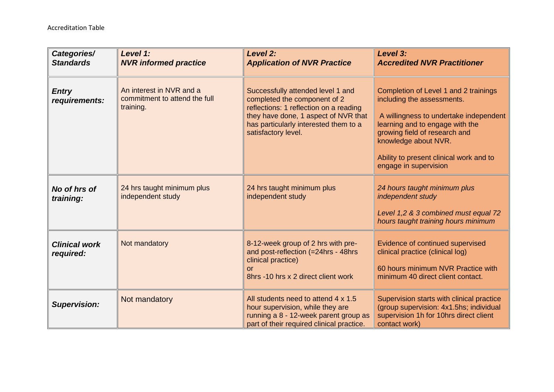| Categories/<br><b>Standards</b>   | Level 1:<br><b>NVR informed practice</b>                               | Level 2:<br><b>Application of NVR Practice</b>                                                                                                                                                                      | Level 3:<br><b>Accredited NVR Practitioner</b>                                                                                                                                                                                                                                |
|-----------------------------------|------------------------------------------------------------------------|---------------------------------------------------------------------------------------------------------------------------------------------------------------------------------------------------------------------|-------------------------------------------------------------------------------------------------------------------------------------------------------------------------------------------------------------------------------------------------------------------------------|
| <b>Entry</b><br>requirements:     | An interest in NVR and a<br>commitment to attend the full<br>training. | Successfully attended level 1 and<br>completed the component of 2<br>reflections: 1 reflection on a reading<br>they have done, 1 aspect of NVR that<br>has particularly interested them to a<br>satisfactory level. | Completion of Level 1 and 2 trainings<br>including the assessments.<br>A willingness to undertake independent<br>learning and to engage with the<br>growing field of research and<br>knowledge about NVR.<br>Ability to present clinical work and to<br>engage in supervision |
| No of hrs of<br>training:         | 24 hrs taught minimum plus<br>independent study                        | 24 hrs taught minimum plus<br>independent study                                                                                                                                                                     | 24 hours taught minimum plus<br>independent study<br>Level 1,2 & 3 combined must equal 72<br>hours taught training hours minimum                                                                                                                                              |
| <b>Clinical work</b><br>required: | Not mandatory                                                          | 8-12-week group of 2 hrs with pre-<br>and post-reflection (=24hrs - 48hrs<br>clinical practice)<br>or<br>8hrs -10 hrs x 2 direct client work                                                                        | Evidence of continued supervised<br>clinical practice (clinical log)<br>60 hours minimum NVR Practice with<br>minimum 40 direct client contact.                                                                                                                               |
| <b>Supervision:</b>               | Not mandatory                                                          | All students need to attend 4 x 1.5<br>hour supervision, while they are<br>running a 8 - 12-week parent group as<br>part of their required clinical practice.                                                       | Supervision starts with clinical practice<br>(group supervision: 4x1.5hs; individual<br>supervision 1h for 10hrs direct client<br>contact work)                                                                                                                               |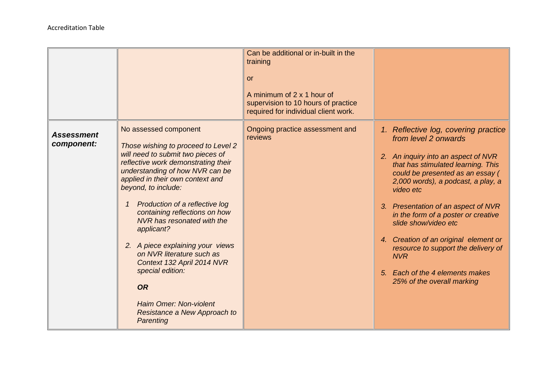|                                 |                                                                                                                                                                                                                                                                                                                                                                                                                                                                                                                                                              | Can be additional or in-built in the<br>training<br>or<br>A minimum of 2 x 1 hour of<br>supervision to 10 hours of practice<br>required for individual client work. |                                                                                                                                                                                                                                                                                                                                                                                                                                                                                                       |
|---------------------------------|--------------------------------------------------------------------------------------------------------------------------------------------------------------------------------------------------------------------------------------------------------------------------------------------------------------------------------------------------------------------------------------------------------------------------------------------------------------------------------------------------------------------------------------------------------------|---------------------------------------------------------------------------------------------------------------------------------------------------------------------|-------------------------------------------------------------------------------------------------------------------------------------------------------------------------------------------------------------------------------------------------------------------------------------------------------------------------------------------------------------------------------------------------------------------------------------------------------------------------------------------------------|
| <b>Assessment</b><br>component: | No assessed component<br>Those wishing to proceed to Level 2<br>will need to submit two pieces of<br>reflective work demonstrating their<br>understanding of how NVR can be<br>applied in their own context and<br>beyond, to include:<br>Production of a reflective log<br>containing reflections on how<br>NVR has resonated with the<br>applicant?<br>2. A piece explaining your views<br>on NVR literature such as<br>Context 132 April 2014 NVR<br>special edition:<br><b>OR</b><br>Haim Omer: Non-violent<br>Resistance a New Approach to<br>Parenting | Ongoing practice assessment and<br>reviews                                                                                                                          | 1. Reflective log, covering practice<br>from level 2 onwards<br>2. An inquiry into an aspect of NVR<br>that has stimulated learning. This<br>could be presented as an essay (<br>2,000 words), a podcast, a play, a<br>video etc<br>3. Presentation of an aspect of NVR<br>in the form of a poster or creative<br>slide show/video etc<br>4. Creation of an original element or<br>resource to support the delivery of<br><b>NVR</b><br>5. Each of the 4 elements makes<br>25% of the overall marking |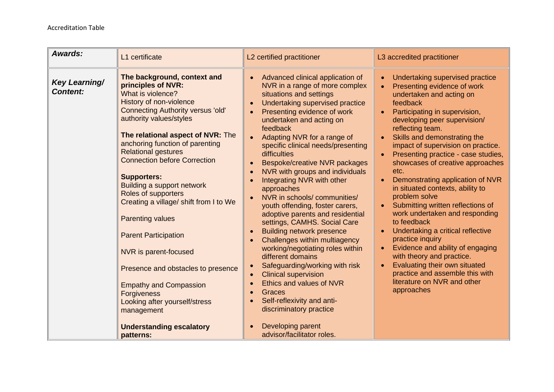| Awards:                          | L1 certificate                                                                                                                                                                                                                                                                                                                                                                                                                                                                                                                                                                                                                                                                                                            | L2 certified practitioner                                                                                                                                                                                                                                                                                                                                                                                                                                                                                                                                                                                                                                                                                                                                                                                                                                                                                        | L3 accredited practitioner                                                                                                                                                                                                                                                                                                                                                                                                                                                                                                                                                                                                                                                                                                                                                                                                                                                                                       |
|----------------------------------|---------------------------------------------------------------------------------------------------------------------------------------------------------------------------------------------------------------------------------------------------------------------------------------------------------------------------------------------------------------------------------------------------------------------------------------------------------------------------------------------------------------------------------------------------------------------------------------------------------------------------------------------------------------------------------------------------------------------------|------------------------------------------------------------------------------------------------------------------------------------------------------------------------------------------------------------------------------------------------------------------------------------------------------------------------------------------------------------------------------------------------------------------------------------------------------------------------------------------------------------------------------------------------------------------------------------------------------------------------------------------------------------------------------------------------------------------------------------------------------------------------------------------------------------------------------------------------------------------------------------------------------------------|------------------------------------------------------------------------------------------------------------------------------------------------------------------------------------------------------------------------------------------------------------------------------------------------------------------------------------------------------------------------------------------------------------------------------------------------------------------------------------------------------------------------------------------------------------------------------------------------------------------------------------------------------------------------------------------------------------------------------------------------------------------------------------------------------------------------------------------------------------------------------------------------------------------|
| Key Learning/<br><b>Content:</b> | The background, context and<br>principles of NVR:<br>What is violence?<br>History of non-violence<br><b>Connecting Authority versus 'old'</b><br>authority values/styles<br>The relational aspect of NVR: The<br>anchoring function of parenting<br><b>Relational gestures</b><br><b>Connection before Correction</b><br><b>Supporters:</b><br>Building a support network<br>Roles of supporters<br>Creating a village/ shift from I to We<br><b>Parenting values</b><br><b>Parent Participation</b><br>NVR is parent-focused<br>Presence and obstacles to presence<br><b>Empathy and Compassion</b><br><b>Forgiveness</b><br>Looking after yourself/stress<br>management<br><b>Understanding escalatory</b><br>patterns: | Advanced clinical application of<br>$\bullet$<br>NVR in a range of more complex<br>situations and settings<br>Undertaking supervised practice<br>Presenting evidence of work<br>undertaken and acting on<br>feedback<br>Adapting NVR for a range of<br>specific clinical needs/presenting<br>difficulties<br>Bespoke/creative NVR packages<br>NVR with groups and individuals<br>Integrating NVR with other<br>approaches<br>NVR in schools/communities/<br>youth offending, foster carers,<br>adoptive parents and residential<br>settings, CAMHS. Social Care<br><b>Building network presence</b><br>Challenges within multiagency<br>working/negotiating roles within<br>different domains<br>Safeguarding/working with risk<br><b>Clinical supervision</b><br>Ethics and values of NVR<br>Graces<br>Self-reflexivity and anti-<br>discriminatory practice<br>Developing parent<br>advisor/facilitator roles. | Undertaking supervised practice<br>$\bullet$<br>Presenting evidence of work<br>$\bullet$<br>undertaken and acting on<br>feedback<br>Participating in supervision,<br>$\bullet$<br>developing peer supervision/<br>reflecting team.<br>Skills and demonstrating the<br>$\bullet$<br>impact of supervision on practice.<br>Presenting practice - case studies,<br>$\bullet$<br>showcases of creative approaches<br>etc.<br>Demonstrating application of NVR<br>$\bullet$<br>in situated contexts, ability to<br>problem solve<br>Submitting written reflections of<br>$\bullet$<br>work undertaken and responding<br>to feedback<br>Undertaking a critical reflective<br>$\bullet$<br>practice inquiry<br>Evidence and ability of engaging<br>$\bullet$<br>with theory and practice.<br>Evaluating their own situated<br>$\bullet$<br>practice and assemble this with<br>literature on NVR and other<br>approaches |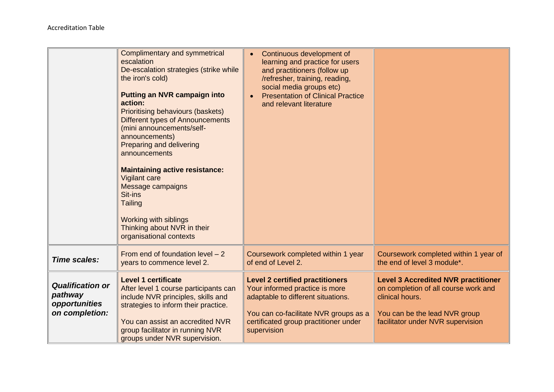|                                                                       | <b>Complimentary and symmetrical</b><br>escalation<br>De-escalation strategies (strike while<br>the iron's cold)<br><b>Putting an NVR campaign into</b><br>action:<br><b>Prioritising behaviours (baskets)</b><br>Different types of Announcements<br>(mini announcements/self-<br>announcements)<br>Preparing and delivering<br>announcements<br><b>Maintaining active resistance:</b><br><b>Vigilant care</b><br>Message campaigns<br>Sit-ins<br><b>Tailing</b><br><b>Working with siblings</b><br>Thinking about NVR in their<br>organisational contexts | Continuous development of<br>learning and practice for users<br>and practitioners (follow up<br>/refresher, training, reading,<br>social media groups etc)<br><b>Presentation of Clinical Practice</b><br>and relevant literature |                                                                                                                                                                             |
|-----------------------------------------------------------------------|-------------------------------------------------------------------------------------------------------------------------------------------------------------------------------------------------------------------------------------------------------------------------------------------------------------------------------------------------------------------------------------------------------------------------------------------------------------------------------------------------------------------------------------------------------------|-----------------------------------------------------------------------------------------------------------------------------------------------------------------------------------------------------------------------------------|-----------------------------------------------------------------------------------------------------------------------------------------------------------------------------|
| Time scales:                                                          | From end of foundation level $-2$<br>years to commence level 2.                                                                                                                                                                                                                                                                                                                                                                                                                                                                                             | Coursework completed within 1 year<br>of end of Level 2.                                                                                                                                                                          | Coursework completed within 1 year of<br>the end of level 3 module*.                                                                                                        |
| <b>Qualification or</b><br>pathway<br>opportunities<br>on completion: | <b>Level 1 certificate</b><br>After level 1 course participants can<br>include NVR principles, skills and<br>strategies to inform their practice.<br>You can assist an accredited NVR<br>group facilitator in running NVR<br>groups under NVR supervision.                                                                                                                                                                                                                                                                                                  | <b>Level 2 certified practitioners</b><br>Your informed practice is more<br>adaptable to different situations.<br>You can co-facilitate NVR groups as a<br>certificated group practitioner under<br>supervision                   | <b>Level 3 Accredited NVR practitioner</b><br>on completion of all course work and<br>clinical hours.<br>You can be the lead NVR group<br>facilitator under NVR supervision |